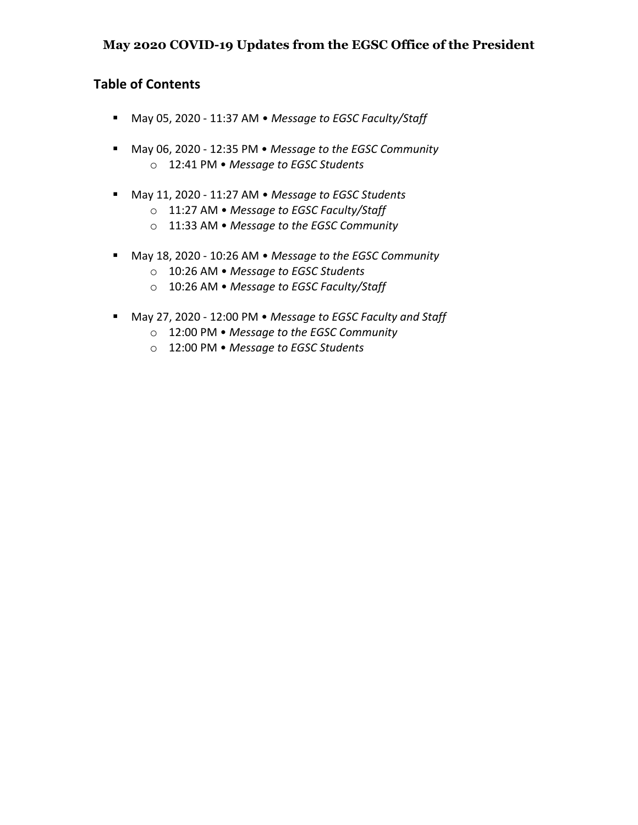### **May 2020 COVID-19 Updates from the EGSC Office of the President**

### **Table of Contents**

- § May 05, 2020 11:37 AM *Message to EGSC Faculty/Staff*
- § May 06, 2020 12:35 PM *Message to the EGSC Community* o 12:41 PM • *Message to EGSC Students*
- § May 11, 2020 11:27 AM *Message to EGSC Students*
	- o 11:27 AM *Message to EGSC Faculty/Staff*
	- o 11:33 AM *Message to the EGSC Community*
- May 18, 2020 10:26 AM *Message to the EGSC Community* 
	- o 10:26 AM *Message to EGSC Students*
	- o 10:26 AM *Message to EGSC Faculty/Staff*
- May 27, 2020 12:00 PM *Message to EGSC Faculty and Staff* 
	- o 12:00 PM *Message to the EGSC Community*
	- o 12:00 PM *Message to EGSC Students*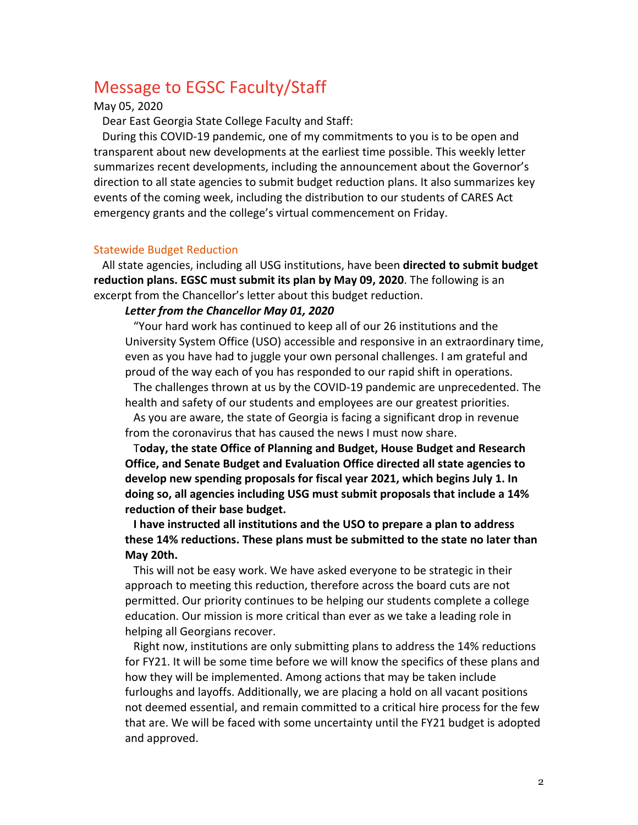## Message to EGSC Faculty/Staff

#### May 05, 2020

Dear East Georgia State College Faculty and Staff:

During this COVID-19 pandemic, one of my commitments to you is to be open and transparent about new developments at the earliest time possible. This weekly letter summarizes recent developments, including the announcement about the Governor's direction to all state agencies to submit budget reduction plans. It also summarizes key events of the coming week, including the distribution to our students of CARES Act emergency grants and the college's virtual commencement on Friday.

#### Statewide Budget Reduction

All state agencies, including all USG institutions, have been **directed to submit budget reduction plans. EGSC must submit its plan by May 09, 2020**. The following is an excerpt from the Chancellor's letter about this budget reduction.

#### *Letter from the Chancellor May 01, 2020*

"Your hard work has continued to keep all of our 26 institutions and the University System Office (USO) accessible and responsive in an extraordinary time, even as you have had to juggle your own personal challenges. I am grateful and proud of the way each of you has responded to our rapid shift in operations.

The challenges thrown at us by the COVID-19 pandemic are unprecedented. The health and safety of our students and employees are our greatest priorities.

As you are aware, the state of Georgia is facing a significant drop in revenue from the coronavirus that has caused the news I must now share.

T**oday, the state Office of Planning and Budget, House Budget and Research Office, and Senate Budget and Evaluation Office directed all state agencies to develop new spending proposals for fiscal year 2021, which begins July 1. In doing so, all agencies including USG must submit proposals that include a 14% reduction of their base budget.**

**I have instructed all institutions and the USO to prepare a plan to address these 14% reductions. These plans must be submitted to the state no later than May 20th.**

This will not be easy work. We have asked everyone to be strategic in their approach to meeting this reduction, therefore across the board cuts are not permitted. Our priority continues to be helping our students complete a college education. Our mission is more critical than ever as we take a leading role in helping all Georgians recover.

Right now, institutions are only submitting plans to address the 14% reductions for FY21. It will be some time before we will know the specifics of these plans and how they will be implemented. Among actions that may be taken include furloughs and layoffs. Additionally, we are placing a hold on all vacant positions not deemed essential, and remain committed to a critical hire process for the few that are. We will be faced with some uncertainty until the FY21 budget is adopted and approved.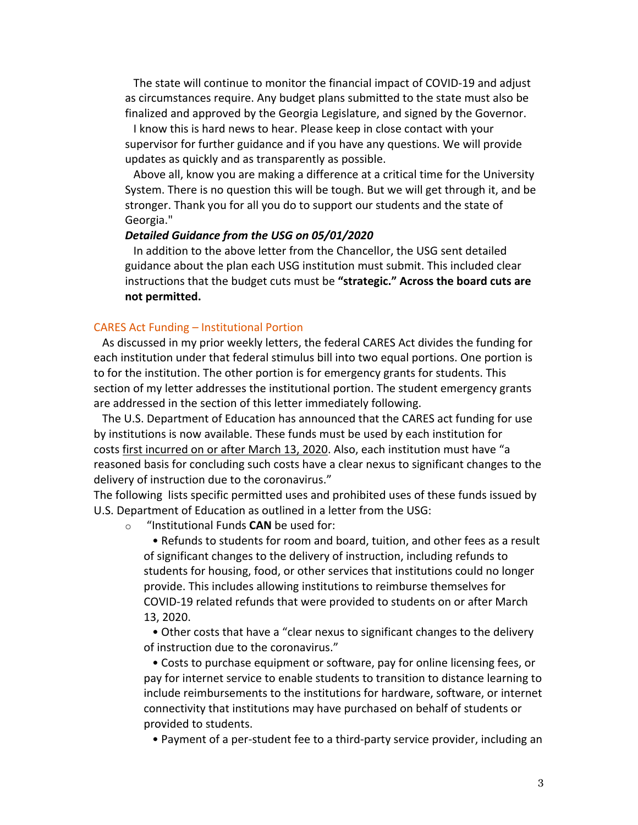The state will continue to monitor the financial impact of COVID-19 and adjust as circumstances require. Any budget plans submitted to the state must also be finalized and approved by the Georgia Legislature, and signed by the Governor.

I know this is hard news to hear. Please keep in close contact with your supervisor for further guidance and if you have any questions. We will provide updates as quickly and as transparently as possible.

Above all, know you are making a difference at a critical time for the University System. There is no question this will be tough. But we will get through it, and be stronger. Thank you for all you do to support our students and the state of Georgia."

#### *Detailed Guidance from the USG on 05/01/2020*

In addition to the above letter from the Chancellor, the USG sent detailed guidance about the plan each USG institution must submit. This included clear instructions that the budget cuts must be **"strategic." Across the board cuts are not permitted.**

#### CARES Act Funding – Institutional Portion

As discussed in my prior weekly letters, the federal CARES Act divides the funding for each institution under that federal stimulus bill into two equal portions. One portion is to for the institution. The other portion is for emergency grants for students. This section of my letter addresses the institutional portion. The student emergency grants are addressed in the section of this letter immediately following.

The U.S. Department of Education has announced that the CARES act funding for use by institutions is now available. These funds must be used by each institution for costs first incurred on or after March 13, 2020. Also, each institution must have "a reasoned basis for concluding such costs have a clear nexus to significant changes to the delivery of instruction due to the coronavirus."

The following lists specific permitted uses and prohibited uses of these funds issued by U.S. Department of Education as outlined in a letter from the USG:

o "Institutional Funds **CAN** be used for:

• Refunds to students for room and board, tuition, and other fees as a result of significant changes to the delivery of instruction, including refunds to students for housing, food, or other services that institutions could no longer provide. This includes allowing institutions to reimburse themselves for COVID-19 related refunds that were provided to students on or after March 13, 2020.

• Other costs that have a "clear nexus to significant changes to the delivery of instruction due to the coronavirus."

• Costs to purchase equipment or software, pay for online licensing fees, or pay for internet service to enable students to transition to distance learning to include reimbursements to the institutions for hardware, software, or internet connectivity that institutions may have purchased on behalf of students or provided to students.

• Payment of a per-student fee to a third-party service provider, including an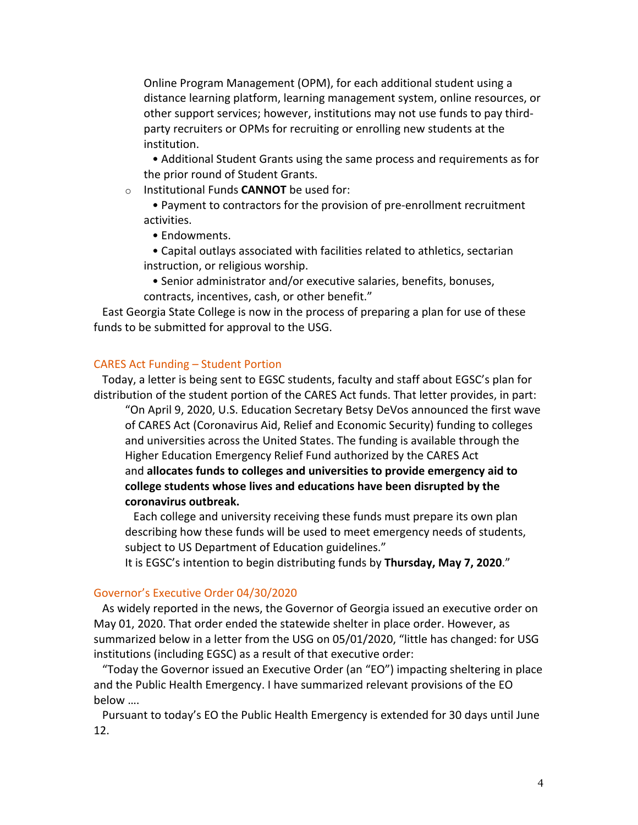Online Program Management (OPM), for each additional student using a distance learning platform, learning management system, online resources, or other support services; however, institutions may not use funds to pay thirdparty recruiters or OPMs for recruiting or enrolling new students at the institution.

• Additional Student Grants using the same process and requirements as for the prior round of Student Grants.

o Institutional Funds **CANNOT** be used for:

• Payment to contractors for the provision of pre-enrollment recruitment activities.

- Endowments.
- Capital outlays associated with facilities related to athletics, sectarian instruction, or religious worship.
- Senior administrator and/or executive salaries, benefits, bonuses, contracts, incentives, cash, or other benefit."

East Georgia State College is now in the process of preparing a plan for use of these funds to be submitted for approval to the USG.

#### CARES Act Funding – Student Portion

Today, a letter is being sent to EGSC students, faculty and staff about EGSC's plan for distribution of the student portion of the CARES Act funds. That letter provides, in part:

"On April 9, 2020, U.S. Education Secretary Betsy DeVos announced the first wave of CARES Act (Coronavirus Aid, Relief and Economic Security) funding to colleges and universities across the United States. The funding is available through the Higher Education Emergency Relief Fund authorized by the CARES Act and **allocates funds to colleges and universities to provide emergency aid to college students whose lives and educations have been disrupted by the coronavirus outbreak.**

Each college and university receiving these funds must prepare its own plan describing how these funds will be used to meet emergency needs of students, subject to US Department of Education guidelines."

It is EGSC's intention to begin distributing funds by **Thursday, May 7, 2020**."

#### Governor's Executive Order 04/30/2020

As widely reported in the news, the Governor of Georgia issued an executive order on May 01, 2020. That order ended the statewide shelter in place order. However, as summarized below in a letter from the USG on 05/01/2020, "little has changed: for USG institutions (including EGSC) as a result of that executive order:

"Today the Governor issued an Executive Order (an "EO") impacting sheltering in place and the Public Health Emergency. I have summarized relevant provisions of the EO below ….

Pursuant to today's EO the Public Health Emergency is extended for 30 days until June 12.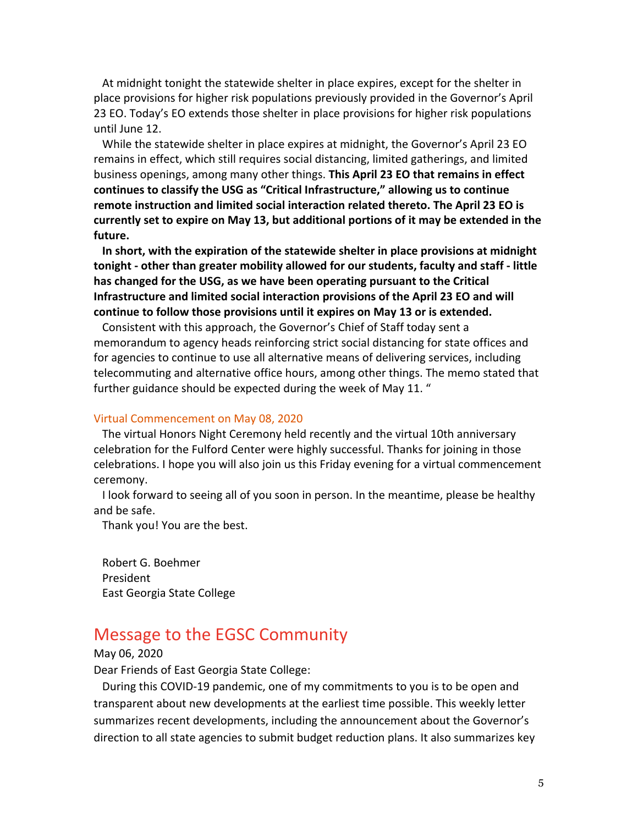At midnight tonight the statewide shelter in place expires, except for the shelter in place provisions for higher risk populations previously provided in the Governor's April 23 EO. Today's EO extends those shelter in place provisions for higher risk populations until June 12.

While the statewide shelter in place expires at midnight, the Governor's April 23 EO remains in effect, which still requires social distancing, limited gatherings, and limited business openings, among many other things. **This April 23 EO that remains in effect continues to classify the USG as "Critical Infrastructure," allowing us to continue remote instruction and limited social interaction related thereto. The April 23 EO is currently set to expire on May 13, but additional portions of it may be extended in the future.**

**In short, with the expiration of the statewide shelter in place provisions at midnight tonight - other than greater mobility allowed for our students, faculty and staff - little has changed for the USG, as we have been operating pursuant to the Critical Infrastructure and limited social interaction provisions of the April 23 EO and will continue to follow those provisions until it expires on May 13 or is extended.**

Consistent with this approach, the Governor's Chief of Staff today sent a memorandum to agency heads reinforcing strict social distancing for state offices and for agencies to continue to use all alternative means of delivering services, including telecommuting and alternative office hours, among other things. The memo stated that further guidance should be expected during the week of May 11. "

#### Virtual Commencement on May 08, 2020

The virtual Honors Night Ceremony held recently and the virtual 10th anniversary celebration for the Fulford Center were highly successful. Thanks for joining in those celebrations. I hope you will also join us this Friday evening for a virtual commencement ceremony.

I look forward to seeing all of you soon in person. In the meantime, please be healthy and be safe.

Thank you! You are the best.

Robert G. Boehmer President East Georgia State College

### Message to the EGSC Community

May 06, 2020

Dear Friends of East Georgia State College:

During this COVID-19 pandemic, one of my commitments to you is to be open and transparent about new developments at the earliest time possible. This weekly letter summarizes recent developments, including the announcement about the Governor's direction to all state agencies to submit budget reduction plans. It also summarizes key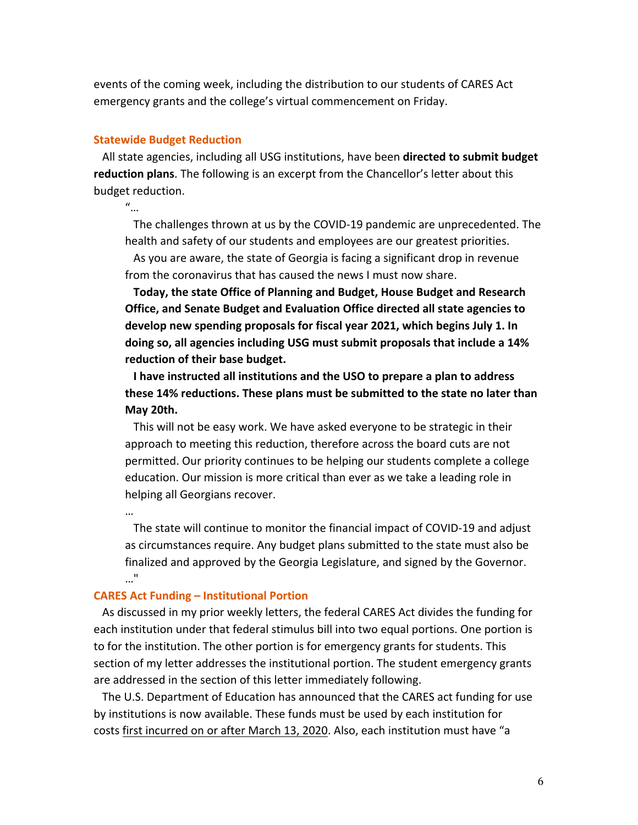events of the coming week, including the distribution to our students of CARES Act emergency grants and the college's virtual commencement on Friday.

#### **Statewide Budget Reduction**

All state agencies, including all USG institutions, have been **directed to submit budget reduction plans**. The following is an excerpt from the Chancellor's letter about this budget reduction.

"…

…

The challenges thrown at us by the COVID-19 pandemic are unprecedented. The health and safety of our students and employees are our greatest priorities.

As you are aware, the state of Georgia is facing a significant drop in revenue from the coronavirus that has caused the news I must now share.

**Today, the state Office of Planning and Budget, House Budget and Research Office, and Senate Budget and Evaluation Office directed all state agencies to develop new spending proposals for fiscal year 2021, which begins July 1. In doing so, all agencies including USG must submit proposals that include a 14% reduction of their base budget.**

**I have instructed all institutions and the USO to prepare a plan to address these 14% reductions. These plans must be submitted to the state no later than May 20th.**

This will not be easy work. We have asked everyone to be strategic in their approach to meeting this reduction, therefore across the board cuts are not permitted. Our priority continues to be helping our students complete a college education. Our mission is more critical than ever as we take a leading role in helping all Georgians recover.

The state will continue to monitor the financial impact of COVID-19 and adjust as circumstances require. Any budget plans submitted to the state must also be finalized and approved by the Georgia Legislature, and signed by the Governor. …"

#### **CARES Act Funding – Institutional Portion**

As discussed in my prior weekly letters, the federal CARES Act divides the funding for each institution under that federal stimulus bill into two equal portions. One portion is to for the institution. The other portion is for emergency grants for students. This section of my letter addresses the institutional portion. The student emergency grants are addressed in the section of this letter immediately following.

The U.S. Department of Education has announced that the CARES act funding for use by institutions is now available. These funds must be used by each institution for costs first incurred on or after March 13, 2020. Also, each institution must have "a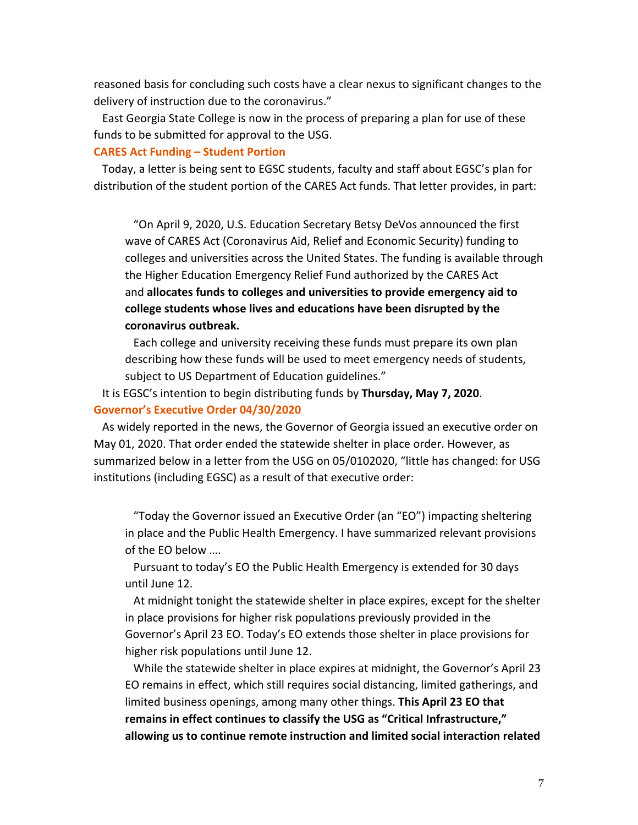reasoned basis for concluding such costs have a clear nexus to significant changes to the delivery of instruction due to the coronavirus."

East Georgia State College is now in the process of preparing a plan for use of these funds to be submitted for approval to the USG.

#### **CARES Act Funding – Student Portion**

Today, a letter is being sent to EGSC students, faculty and staff about EGSC's plan for distribution of the student portion of the CARES Act funds. That letter provides, in part:

"On April 9, 2020, U.S. Education Secretary Betsy DeVos announced the first wave of CARES Act (Coronavirus Aid, Relief and Economic Security) funding to colleges and universities across the United States. The funding is available through the Higher Education Emergency Relief Fund authorized by the CARES Act and **allocates funds to colleges and universities to provide emergency aid to college students whose lives and educations have been disrupted by the coronavirus outbreak.**

Each college and university receiving these funds must prepare its own plan describing how these funds will be used to meet emergency needs of students, subject to US Department of Education guidelines."

It is EGSC's intention to begin distributing funds by **Thursday, May 7, 2020**. **Governor's Executive Order 04/30/2020**

As widely reported in the news, the Governor of Georgia issued an executive order on May 01, 2020. That order ended the statewide shelter in place order. However, as summarized below in a letter from the USG on 05/0102020, "little has changed: for USG institutions (including EGSC) as a result of that executive order:

"Today the Governor issued an Executive Order (an "EO") impacting sheltering in place and the Public Health Emergency. I have summarized relevant provisions of the EO below ….

Pursuant to today's EO the Public Health Emergency is extended for 30 days until June 12.

At midnight tonight the statewide shelter in place expires, except for the shelter in place provisions for higher risk populations previously provided in the Governor's April 23 EO. Today's EO extends those shelter in place provisions for higher risk populations until June 12.

While the statewide shelter in place expires at midnight, the Governor's April 23 EO remains in effect, which still requires social distancing, limited gatherings, and limited business openings, among many other things. **This April 23 EO that remains in effect continues to classify the USG as "Critical Infrastructure," allowing us to continue remote instruction and limited social interaction related**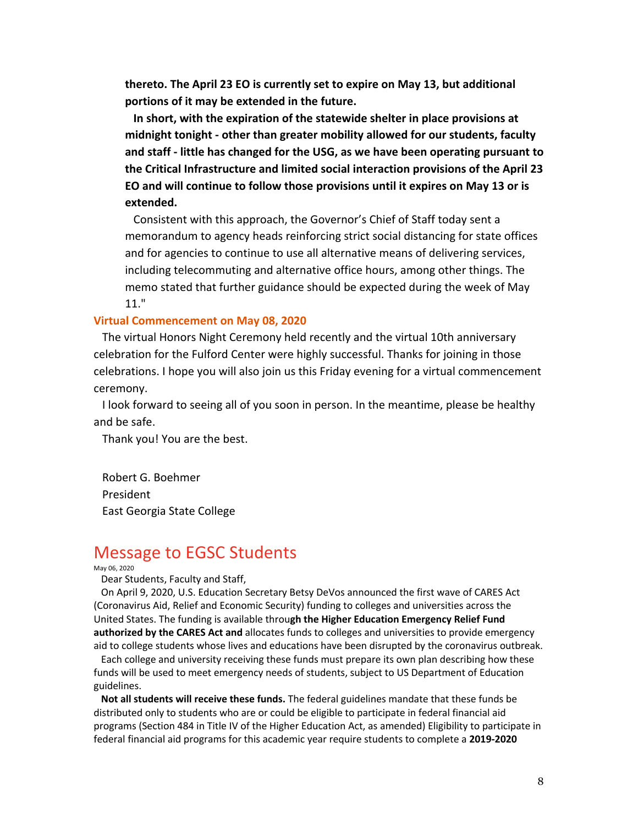**thereto. The April 23 EO is currently set to expire on May 13, but additional portions of it may be extended in the future.**

**In short, with the expiration of the statewide shelter in place provisions at midnight tonight - other than greater mobility allowed for our students, faculty and staff - little has changed for the USG, as we have been operating pursuant to the Critical Infrastructure and limited social interaction provisions of the April 23 EO and will continue to follow those provisions until it expires on May 13 or is extended.**

Consistent with this approach, the Governor's Chief of Staff today sent a memorandum to agency heads reinforcing strict social distancing for state offices and for agencies to continue to use all alternative means of delivering services, including telecommuting and alternative office hours, among other things. The memo stated that further guidance should be expected during the week of May 11."

#### **Virtual Commencement on May 08, 2020**

The virtual Honors Night Ceremony held recently and the virtual 10th anniversary celebration for the Fulford Center were highly successful. Thanks for joining in those celebrations. I hope you will also join us this Friday evening for a virtual commencement ceremony.

I look forward to seeing all of you soon in person. In the meantime, please be healthy and be safe.

Thank you! You are the best.

Robert G. Boehmer President East Georgia State College

## Message to EGSC Students

#### May 06, 2020

Dear Students, Faculty and Staff,

On April 9, 2020, U.S. Education Secretary Betsy DeVos announced the first wave of CARES Act (Coronavirus Aid, Relief and Economic Security) funding to colleges and universities across the United States. The funding is available throu**gh the Higher Education Emergency Relief Fund authorized by the CARES Act and** allocates funds to colleges and universities to provide emergency aid to college students whose lives and educations have been disrupted by the coronavirus outbreak.

Each college and university receiving these funds must prepare its own plan describing how these funds will be used to meet emergency needs of students, subject to US Department of Education guidelines.

**Not all students will receive these funds.** The federal guidelines mandate that these funds be distributed only to students who are or could be eligible to participate in federal financial aid programs (Section 484 in Title IV of the Higher Education Act, as amended) Eligibility to participate in federal financial aid programs for this academic year require students to complete a **2019-2020**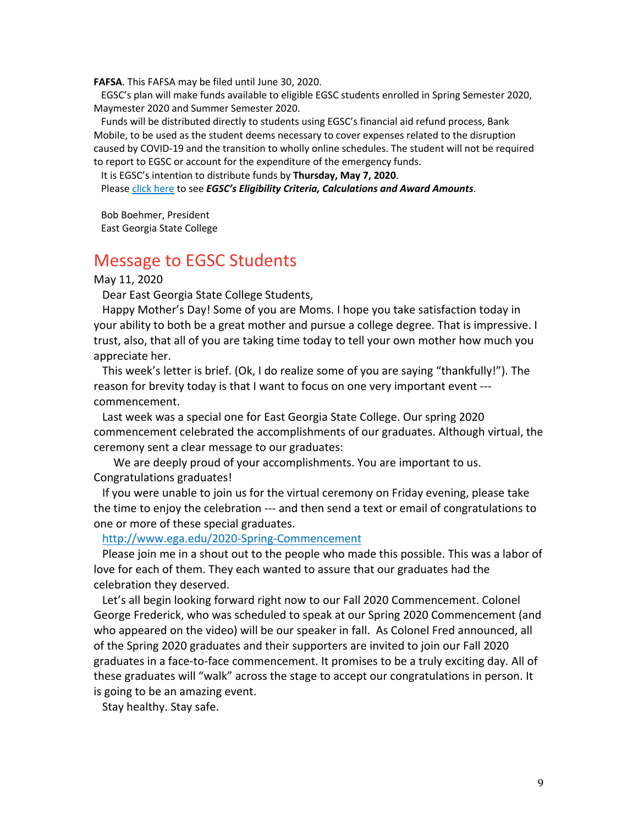**FAFSA**. This FAFSA may be filed until June 30, 2020.

EGSC's plan will make funds available to eligible EGSC students enrolled in Spring Semester 2020, Maymester 2020 and Summer Semester 2020.

Funds will be distributed directly to students using EGSC's financial aid refund process, Bank Mobile, to be used as the student deems necessary to cover expenses related to the disruption caused by COVID-19 and the transition to wholly online schedules. The student will not be required to report to EGSC or account for the expenditure of the emergency funds.

It is EGSC's intention to distribute funds by **Thursday, May 7, 2020**.

Please click here to see *EGSC's Eligibility Criteria, Calculations and Award Amounts*.

Bob Boehmer, President East Georgia State College

### Message to EGSC Students

May 11, 2020

Dear East Georgia State College Students,

Happy Mother's Day! Some of you are Moms. I hope you take satisfaction today in your ability to both be a great mother and pursue a college degree. That is impressive. I trust, also, that all of you are taking time today to tell your own mother how much you appreciate her.

This week's letter is brief. (Ok, I do realize some of you are saying "thankfully!"). The reason for brevity today is that I want to focus on one very important event -- commencement.

Last week was a special one for East Georgia State College. Our spring 2020 commencement celebrated the accomplishments of our graduates. Although virtual, the ceremony sent a clear message to our graduates:

We are deeply proud of your accomplishments. You are important to us. Congratulations graduates!

If you were unable to join us for the virtual ceremony on Friday evening, please take the time to enjoy the celebration --- and then send a text or email of congratulations to one or more of these special graduates.

http://www.ega.edu/2020-Spring-Commencement

Please join me in a shout out to the people who made this possible. This was a labor of love for each of them. They each wanted to assure that our graduates had the celebration they deserved.

Let's all begin looking forward right now to our Fall 2020 Commencement. Colonel George Frederick, who was scheduled to speak at our Spring 2020 Commencement (and who appeared on the video) will be our speaker in fall. As Colonel Fred announced, all of the Spring 2020 graduates and their supporters are invited to join our Fall 2020 graduates in a face-to-face commencement. It promises to be a truly exciting day. All of these graduates will "walk" across the stage to accept our congratulations in person. It is going to be an amazing event.

Stay healthy. Stay safe.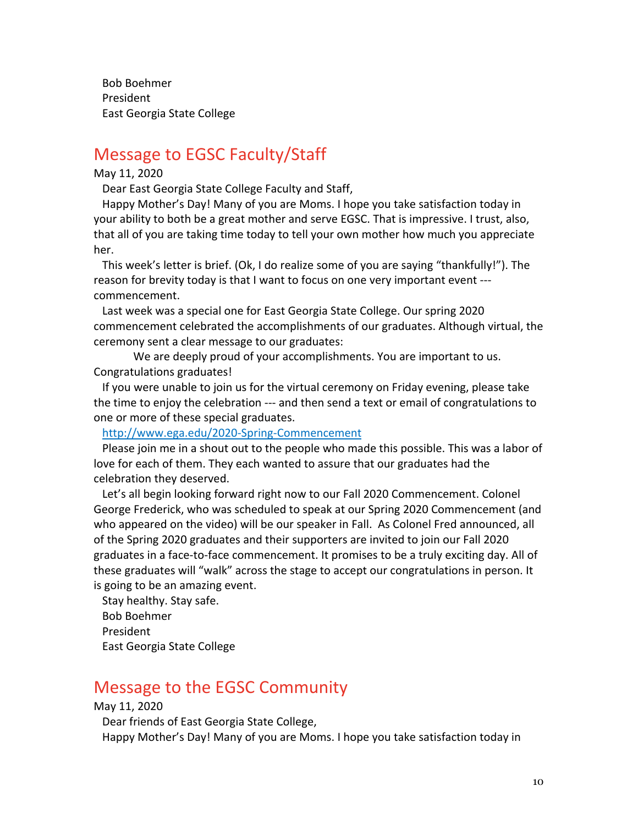Bob Boehmer President East Georgia State College

## Message to EGSC Faculty/Staff

#### May 11, 2020

Dear East Georgia State College Faculty and Staff,

Happy Mother's Day! Many of you are Moms. I hope you take satisfaction today in your ability to both be a great mother and serve EGSC. That is impressive. I trust, also, that all of you are taking time today to tell your own mother how much you appreciate her.

This week's letter is brief. (Ok, I do realize some of you are saying "thankfully!"). The reason for brevity today is that I want to focus on one very important event -- commencement.

Last week was a special one for East Georgia State College. Our spring 2020 commencement celebrated the accomplishments of our graduates. Although virtual, the ceremony sent a clear message to our graduates:

We are deeply proud of your accomplishments. You are important to us. Congratulations graduates!

If you were unable to join us for the virtual ceremony on Friday evening, please take the time to enjoy the celebration --- and then send a text or email of congratulations to one or more of these special graduates.

http://www.ega.edu/2020-Spring-Commencement

Please join me in a shout out to the people who made this possible. This was a labor of love for each of them. They each wanted to assure that our graduates had the celebration they deserved.

Let's all begin looking forward right now to our Fall 2020 Commencement. Colonel George Frederick, who was scheduled to speak at our Spring 2020 Commencement (and who appeared on the video) will be our speaker in Fall. As Colonel Fred announced, all of the Spring 2020 graduates and their supporters are invited to join our Fall 2020 graduates in a face-to-face commencement. It promises to be a truly exciting day. All of these graduates will "walk" across the stage to accept our congratulations in person. It is going to be an amazing event.

Stay healthy. Stay safe. Bob Boehmer President East Georgia State College

## Message to the EGSC Community

May 11, 2020

Dear friends of East Georgia State College, Happy Mother's Day! Many of you are Moms. I hope you take satisfaction today in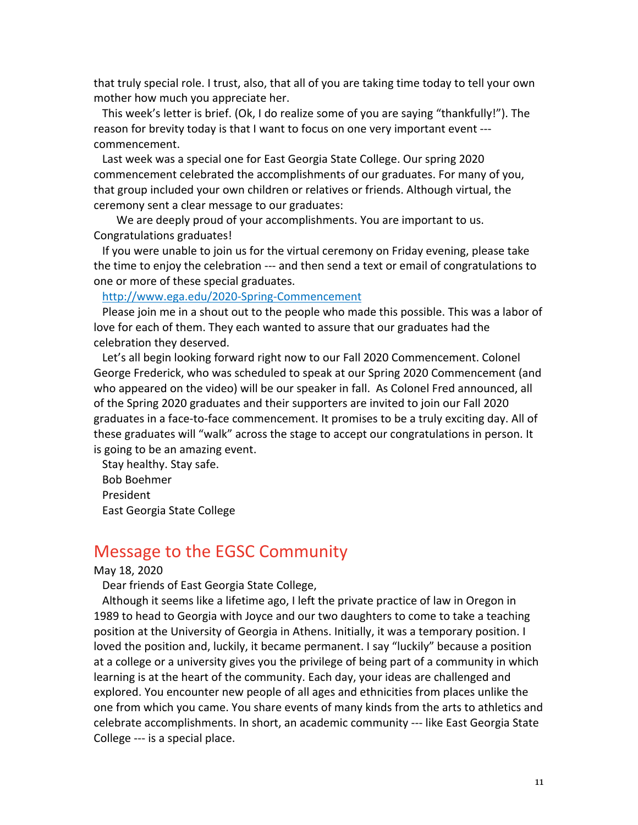that truly special role. I trust, also, that all of you are taking time today to tell your own mother how much you appreciate her.

This week's letter is brief. (Ok, I do realize some of you are saying "thankfully!"). The reason for brevity today is that I want to focus on one very important event -- commencement.

Last week was a special one for East Georgia State College. Our spring 2020 commencement celebrated the accomplishments of our graduates. For many of you, that group included your own children or relatives or friends. Although virtual, the ceremony sent a clear message to our graduates:

We are deeply proud of your accomplishments. You are important to us. Congratulations graduates!

If you were unable to join us for the virtual ceremony on Friday evening, please take the time to enjoy the celebration --- and then send a text or email of congratulations to one or more of these special graduates.

#### http://www.ega.edu/2020-Spring-Commencement

Please join me in a shout out to the people who made this possible. This was a labor of love for each of them. They each wanted to assure that our graduates had the celebration they deserved.

Let's all begin looking forward right now to our Fall 2020 Commencement. Colonel George Frederick, who was scheduled to speak at our Spring 2020 Commencement (and who appeared on the video) will be our speaker in fall. As Colonel Fred announced, all of the Spring 2020 graduates and their supporters are invited to join our Fall 2020 graduates in a face-to-face commencement. It promises to be a truly exciting day. All of these graduates will "walk" across the stage to accept our congratulations in person. It is going to be an amazing event.

Stay healthy. Stay safe. Bob Boehmer President East Georgia State College

### Message to the EGSC Community

#### May 18, 2020

Dear friends of East Georgia State College,

Although it seems like a lifetime ago, I left the private practice of law in Oregon in 1989 to head to Georgia with Joyce and our two daughters to come to take a teaching position at the University of Georgia in Athens. Initially, it was a temporary position. I loved the position and, luckily, it became permanent. I say "luckily" because a position at a college or a university gives you the privilege of being part of a community in which learning is at the heart of the community. Each day, your ideas are challenged and explored. You encounter new people of all ages and ethnicities from places unlike the one from which you came. You share events of many kinds from the arts to athletics and celebrate accomplishments. In short, an academic community --- like East Georgia State College --- is a special place.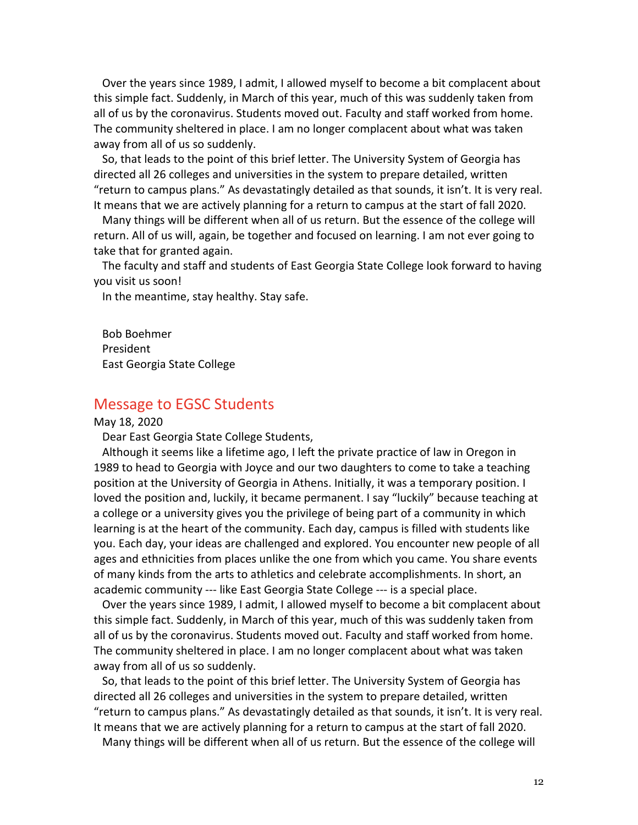Over the years since 1989, I admit, I allowed myself to become a bit complacent about this simple fact. Suddenly, in March of this year, much of this was suddenly taken from all of us by the coronavirus. Students moved out. Faculty and staff worked from home. The community sheltered in place. I am no longer complacent about what was taken away from all of us so suddenly.

So, that leads to the point of this brief letter. The University System of Georgia has directed all 26 colleges and universities in the system to prepare detailed, written "return to campus plans." As devastatingly detailed as that sounds, it isn't. It is very real. It means that we are actively planning for a return to campus at the start of fall 2020.

Many things will be different when all of us return. But the essence of the college will return. All of us will, again, be together and focused on learning. I am not ever going to take that for granted again.

The faculty and staff and students of East Georgia State College look forward to having you visit us soon!

In the meantime, stay healthy. Stay safe.

Bob Boehmer President East Georgia State College

### Message to EGSC Students

#### May 18, 2020

Dear East Georgia State College Students,

Although it seems like a lifetime ago, I left the private practice of law in Oregon in 1989 to head to Georgia with Joyce and our two daughters to come to take a teaching position at the University of Georgia in Athens. Initially, it was a temporary position. I loved the position and, luckily, it became permanent. I say "luckily" because teaching at a college or a university gives you the privilege of being part of a community in which learning is at the heart of the community. Each day, campus is filled with students like you. Each day, your ideas are challenged and explored. You encounter new people of all ages and ethnicities from places unlike the one from which you came. You share events of many kinds from the arts to athletics and celebrate accomplishments. In short, an academic community --- like East Georgia State College --- is a special place.

Over the years since 1989, I admit, I allowed myself to become a bit complacent about this simple fact. Suddenly, in March of this year, much of this was suddenly taken from all of us by the coronavirus. Students moved out. Faculty and staff worked from home. The community sheltered in place. I am no longer complacent about what was taken away from all of us so suddenly.

So, that leads to the point of this brief letter. The University System of Georgia has directed all 26 colleges and universities in the system to prepare detailed, written "return to campus plans." As devastatingly detailed as that sounds, it isn't. It is very real. It means that we are actively planning for a return to campus at the start of fall 2020.

Many things will be different when all of us return. But the essence of the college will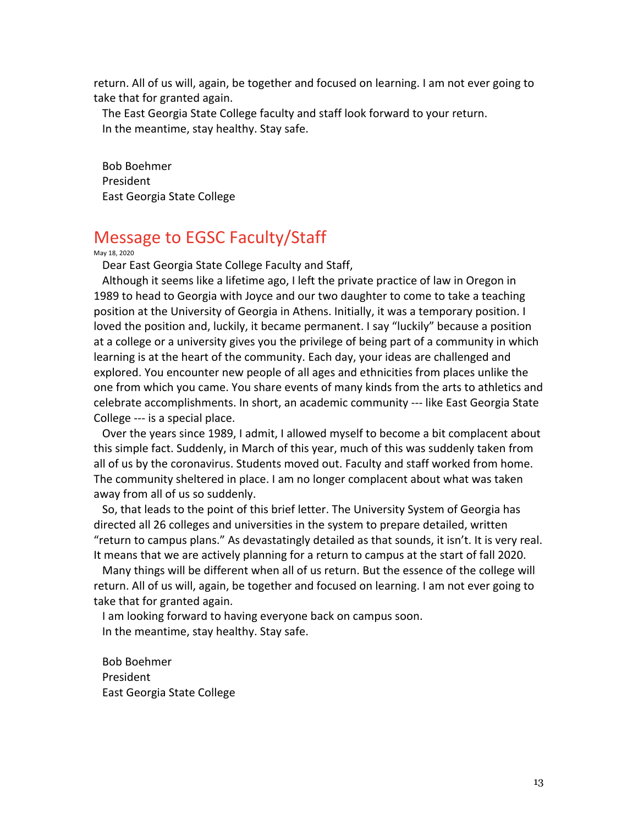return. All of us will, again, be together and focused on learning. I am not ever going to take that for granted again.

The East Georgia State College faculty and staff look forward to your return. In the meantime, stay healthy. Stay safe.

Bob Boehmer President East Georgia State College

## Message to EGSC Faculty/Staff

May 18, 2020

Dear East Georgia State College Faculty and Staff,

Although it seems like a lifetime ago, I left the private practice of law in Oregon in 1989 to head to Georgia with Joyce and our two daughter to come to take a teaching position at the University of Georgia in Athens. Initially, it was a temporary position. I loved the position and, luckily, it became permanent. I say "luckily" because a position at a college or a university gives you the privilege of being part of a community in which learning is at the heart of the community. Each day, your ideas are challenged and explored. You encounter new people of all ages and ethnicities from places unlike the one from which you came. You share events of many kinds from the arts to athletics and celebrate accomplishments. In short, an academic community --- like East Georgia State College --- is a special place.

Over the years since 1989, I admit, I allowed myself to become a bit complacent about this simple fact. Suddenly, in March of this year, much of this was suddenly taken from all of us by the coronavirus. Students moved out. Faculty and staff worked from home. The community sheltered in place. I am no longer complacent about what was taken away from all of us so suddenly.

So, that leads to the point of this brief letter. The University System of Georgia has directed all 26 colleges and universities in the system to prepare detailed, written "return to campus plans." As devastatingly detailed as that sounds, it isn't. It is very real. It means that we are actively planning for a return to campus at the start of fall 2020.

Many things will be different when all of us return. But the essence of the college will return. All of us will, again, be together and focused on learning. I am not ever going to take that for granted again.

I am looking forward to having everyone back on campus soon. In the meantime, stay healthy. Stay safe.

Bob Boehmer President East Georgia State College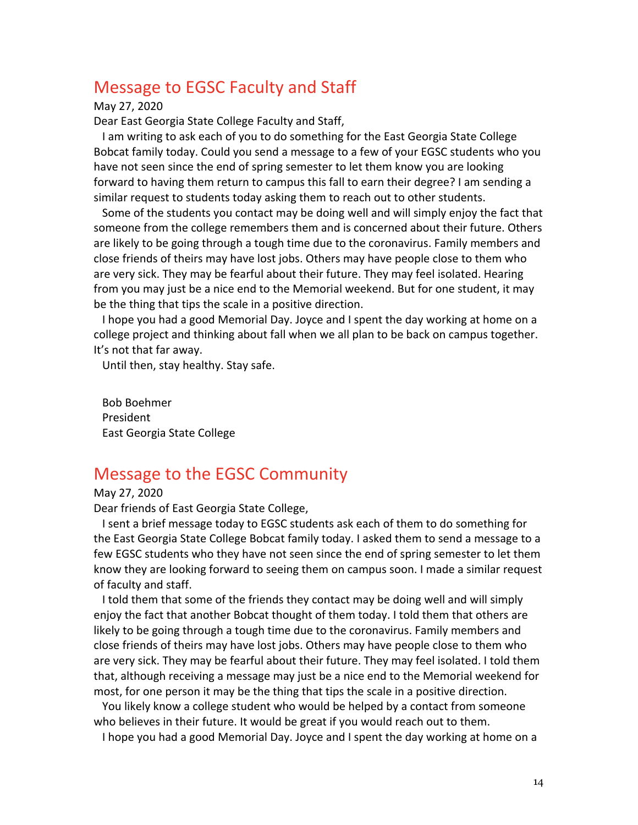## Message to EGSC Faculty and Staff

May 27, 2020

Dear East Georgia State College Faculty and Staff,

I am writing to ask each of you to do something for the East Georgia State College Bobcat family today. Could you send a message to a few of your EGSC students who you have not seen since the end of spring semester to let them know you are looking forward to having them return to campus this fall to earn their degree? I am sending a similar request to students today asking them to reach out to other students.

Some of the students you contact may be doing well and will simply enjoy the fact that someone from the college remembers them and is concerned about their future. Others are likely to be going through a tough time due to the coronavirus. Family members and close friends of theirs may have lost jobs. Others may have people close to them who are very sick. They may be fearful about their future. They may feel isolated. Hearing from you may just be a nice end to the Memorial weekend. But for one student, it may be the thing that tips the scale in a positive direction.

I hope you had a good Memorial Day. Joyce and I spent the day working at home on a college project and thinking about fall when we all plan to be back on campus together. It's not that far away.

Until then, stay healthy. Stay safe.

Bob Boehmer President East Georgia State College

### Message to the EGSC Community

May 27, 2020

Dear friends of East Georgia State College,

I sent a brief message today to EGSC students ask each of them to do something for the East Georgia State College Bobcat family today. I asked them to send a message to a few EGSC students who they have not seen since the end of spring semester to let them know they are looking forward to seeing them on campus soon. I made a similar request of faculty and staff.

I told them that some of the friends they contact may be doing well and will simply enjoy the fact that another Bobcat thought of them today. I told them that others are likely to be going through a tough time due to the coronavirus. Family members and close friends of theirs may have lost jobs. Others may have people close to them who are very sick. They may be fearful about their future. They may feel isolated. I told them that, although receiving a message may just be a nice end to the Memorial weekend for most, for one person it may be the thing that tips the scale in a positive direction.

You likely know a college student who would be helped by a contact from someone who believes in their future. It would be great if you would reach out to them.

I hope you had a good Memorial Day. Joyce and I spent the day working at home on a